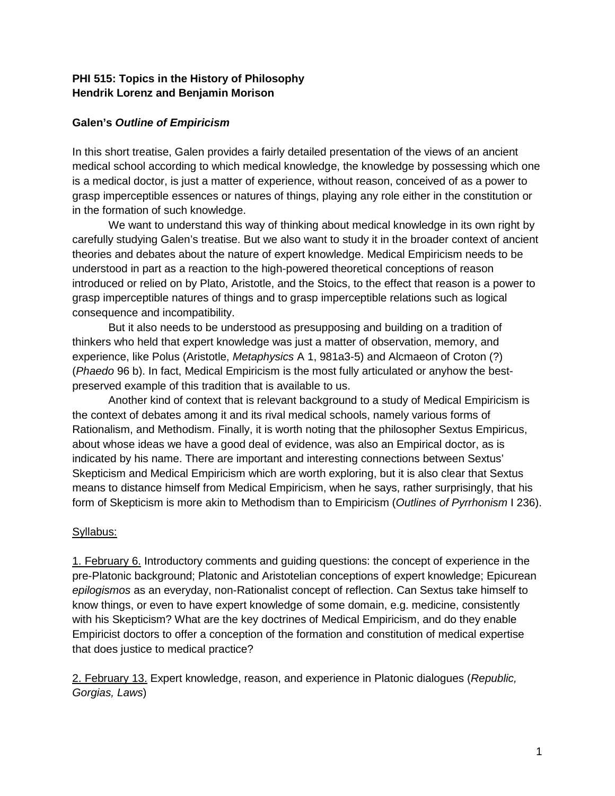## **PHI 515: Topics in the History of Philosophy Hendrik Lorenz and Benjamin Morison**

## **Galen's** *Outline of Empiricism*

In this short treatise, Galen provides a fairly detailed presentation of the views of an ancient medical school according to which medical knowledge, the knowledge by possessing which one is a medical doctor, is just a matter of experience, without reason, conceived of as a power to grasp imperceptible essences or natures of things, playing any role either in the constitution or in the formation of such knowledge.

We want to understand this way of thinking about medical knowledge in its own right by carefully studying Galen's treatise. But we also want to study it in the broader context of ancient theories and debates about the nature of expert knowledge. Medical Empiricism needs to be understood in part as a reaction to the high-powered theoretical conceptions of reason introduced or relied on by Plato, Aristotle, and the Stoics, to the effect that reason is a power to grasp imperceptible natures of things and to grasp imperceptible relations such as logical consequence and incompatibility.

But it also needs to be understood as presupposing and building on a tradition of thinkers who held that expert knowledge was just a matter of observation, memory, and experience, like Polus (Aristotle, *Metaphysics* A 1, 981a3-5) and Alcmaeon of Croton (?) (*Phaedo* 96 b). In fact, Medical Empiricism is the most fully articulated or anyhow the bestpreserved example of this tradition that is available to us.

Another kind of context that is relevant background to a study of Medical Empiricism is the context of debates among it and its rival medical schools, namely various forms of Rationalism, and Methodism. Finally, it is worth noting that the philosopher Sextus Empiricus, about whose ideas we have a good deal of evidence, was also an Empirical doctor, as is indicated by his name. There are important and interesting connections between Sextus' Skepticism and Medical Empiricism which are worth exploring, but it is also clear that Sextus means to distance himself from Medical Empiricism, when he says, rather surprisingly, that his form of Skepticism is more akin to Methodism than to Empiricism (*Outlines of Pyrrhonism* I 236).

## Syllabus:

1. February 6. Introductory comments and guiding questions: the concept of experience in the pre-Platonic background; Platonic and Aristotelian conceptions of expert knowledge; Epicurean *epilogismos* as an everyday, non-Rationalist concept of reflection. Can Sextus take himself to know things, or even to have expert knowledge of some domain, e.g. medicine, consistently with his Skepticism? What are the key doctrines of Medical Empiricism, and do they enable Empiricist doctors to offer a conception of the formation and constitution of medical expertise that does justice to medical practice?

2. February 13. Expert knowledge, reason, and experience in Platonic dialogues (*Republic, Gorgias, Laws*)